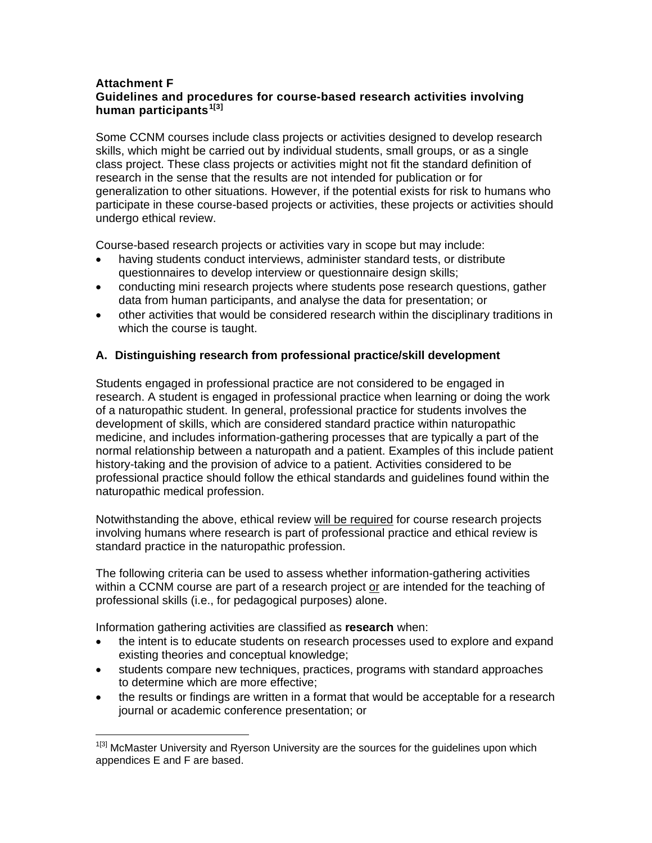#### **Attachment F Guidelines and procedures for course-based research activities involving human participants[1](#page-0-0)[3]**

Some CCNM courses include class projects or activities designed to develop research skills, which might be carried out by individual students, small groups, or as a single class project. These class projects or activities might not fit the standard definition of research in the sense that the results are not intended for publication or for generalization to other situations. However, if the potential exists for risk to humans who participate in these course-based projects or activities, these projects or activities should undergo ethical review.

Course-based research projects or activities vary in scope but may include:

- having students conduct interviews, administer standard tests, or distribute questionnaires to develop interview or questionnaire design skills;
- conducting mini research projects where students pose research questions, gather data from human participants, and analyse the data for presentation; or
- other activities that would be considered research within the disciplinary traditions in which the course is taught.

# **A. Distinguishing research from professional practice/skill development**

Students engaged in professional practice are not considered to be engaged in research. A student is engaged in professional practice when learning or doing the work of a naturopathic student. In general, professional practice for students involves the development of skills, which are considered standard practice within naturopathic medicine, and includes information-gathering processes that are typically a part of the normal relationship between a naturopath and a patient. Examples of this include patient history-taking and the provision of advice to a patient. Activities considered to be professional practice should follow the ethical standards and guidelines found within the naturopathic medical profession.

Notwithstanding the above, ethical review will be required for course research projects involving humans where research is part of professional practice and ethical review is standard practice in the naturopathic profession.

The following criteria can be used to assess whether information-gathering activities within a CCNM course are part of a research project or are intended for the teaching of professional skills (i.e., for pedagogical purposes) alone.

Information gathering activities are classified as **research** when:

 $\overline{a}$ 

- the intent is to educate students on research processes used to explore and expand existing theories and conceptual knowledge;
- students compare new techniques, practices, programs with standard approaches to determine which are more effective;
- the results or findings are written in a format that would be acceptable for a research journal or academic conference presentation; or

<span id="page-0-0"></span><sup>&</sup>lt;sup>1[3]</sup> McMaster University and Ryerson University are the sources for the guidelines upon which appendices E and F are based.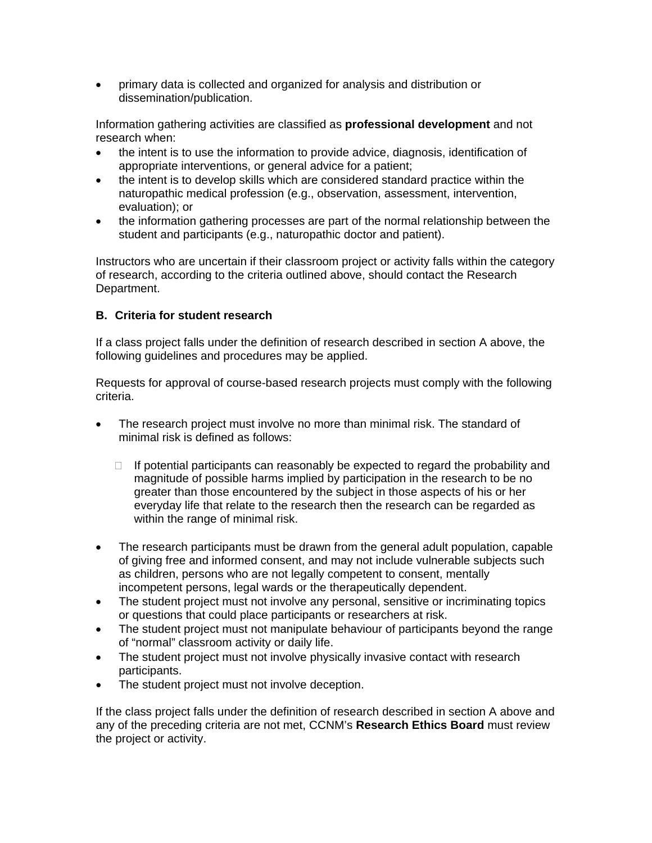• primary data is collected and organized for analysis and distribution or dissemination/publication.

Information gathering activities are classified as **professional development** and not research when:

- the intent is to use the information to provide advice, diagnosis, identification of appropriate interventions, or general advice for a patient;
- the intent is to develop skills which are considered standard practice within the naturopathic medical profession (e.g., observation, assessment, intervention, evaluation); or
- the information gathering processes are part of the normal relationship between the student and participants (e.g., naturopathic doctor and patient).

Instructors who are uncertain if their classroom project or activity falls within the category of research, according to the criteria outlined above, should contact the Research Department.

## **B. Criteria for student research**

If a class project falls under the definition of research described in section A above, the following guidelines and procedures may be applied.

Requests for approval of course-based research projects must comply with the following criteria.

- The research project must involve no more than minimal risk. The standard of minimal risk is defined as follows:
	- $\Box$  If potential participants can reasonably be expected to regard the probability and magnitude of possible harms implied by participation in the research to be no greater than those encountered by the subject in those aspects of his or her everyday life that relate to the research then the research can be regarded as within the range of minimal risk.
- The research participants must be drawn from the general adult population, capable of giving free and informed consent, and may not include vulnerable subjects such as children, persons who are not legally competent to consent, mentally incompetent persons, legal wards or the therapeutically dependent.
- The student project must not involve any personal, sensitive or incriminating topics or questions that could place participants or researchers at risk.
- The student project must not manipulate behaviour of participants beyond the range of "normal" classroom activity or daily life.
- The student project must not involve physically invasive contact with research participants.
- The student project must not involve deception.

If the class project falls under the definition of research described in section A above and any of the preceding criteria are not met, CCNM's **Research Ethics Board** must review the project or activity.